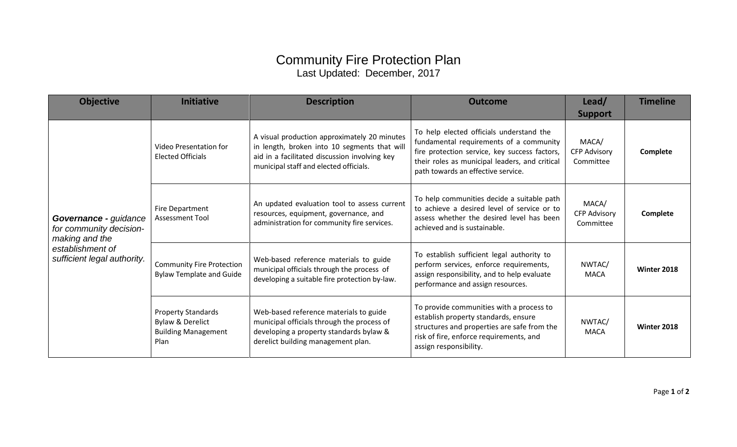## Community Fire Protection Plan Last Updated: December, 2017

| <b>Objective</b>                                                                                                      | <b>Initiative</b>                                                                              | <b>Description</b>                                                                                                                                                                      | <b>Outcome</b>                                                                                                                                                                                                               | Lead/<br><b>Support</b>                   | <b>Timeline</b> |
|-----------------------------------------------------------------------------------------------------------------------|------------------------------------------------------------------------------------------------|-----------------------------------------------------------------------------------------------------------------------------------------------------------------------------------------|------------------------------------------------------------------------------------------------------------------------------------------------------------------------------------------------------------------------------|-------------------------------------------|-----------------|
| Governance - guidance<br>for community decision-<br>making and the<br>establishment of<br>sufficient legal authority. | Video Presentation for<br><b>Elected Officials</b>                                             | A visual production approximately 20 minutes<br>in length, broken into 10 segments that will<br>aid in a facilitated discussion involving key<br>municipal staff and elected officials. | To help elected officials understand the<br>fundamental requirements of a community<br>fire protection service, key success factors,<br>their roles as municipal leaders, and critical<br>path towards an effective service. | MACA/<br><b>CFP Advisory</b><br>Committee | Complete        |
|                                                                                                                       | Fire Department<br>Assessment Tool                                                             | An updated evaluation tool to assess current<br>resources, equipment, governance, and<br>administration for community fire services.                                                    | To help communities decide a suitable path<br>to achieve a desired level of service or to<br>assess whether the desired level has been<br>achieved and is sustainable.                                                       | MACA/<br><b>CFP Advisory</b><br>Committee | Complete        |
|                                                                                                                       | <b>Community Fire Protection</b><br><b>Bylaw Template and Guide</b>                            | Web-based reference materials to guide<br>municipal officials through the process of<br>developing a suitable fire protection by-law.                                                   | To establish sufficient legal authority to<br>perform services, enforce requirements,<br>assign responsibility, and to help evaluate<br>performance and assign resources.                                                    | NWTAC/<br>MACA                            | Winter 2018     |
|                                                                                                                       | <b>Property Standards</b><br><b>Bylaw &amp; Derelict</b><br><b>Building Management</b><br>Plan | Web-based reference materials to guide<br>municipal officials through the process of<br>developing a property standards bylaw &<br>derelict building management plan.                   | To provide communities with a process to<br>establish property standards, ensure<br>structures and properties are safe from the<br>risk of fire, enforce requirements, and<br>assign responsibility.                         | NWTAC/<br><b>MACA</b>                     | Winter 2018     |